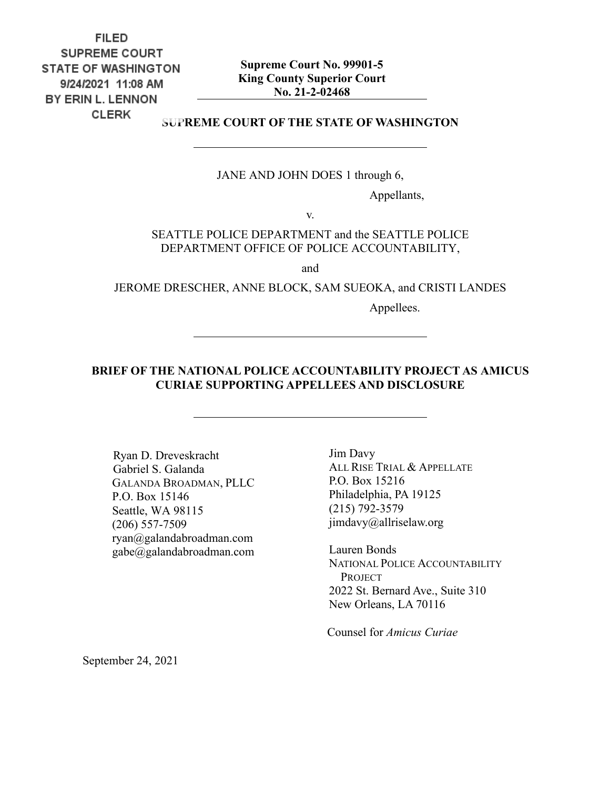**FILED SUPREME COURT STATE OF WASHINGTON** 9/24/2021 11:08 AM BY ERIN L. LENNON **CLERK** 

**Supreme Court No. 99901-5 King County Superior Court No. 21-2-02468**

**SUPREME COURT OF THE STATE OF WASHINGTON**

JANE AND JOHN DOES 1 through 6,

Appellants,

v.

SEATTLE POLICE DEPARTMENT and the SEATTLE POLICE DEPARTMENT OFFICE OF POLICE ACCOUNTABILITY,

and

JEROME DRESCHER, ANNE BLOCK, SAM SUEOKA, and CRISTI LANDES

Appellees.

#### **BRIEF OF THE NATIONAL POLICE ACCOUNTABILITY PROJECT AS AMICUS CURIAE SUPPORTING APPELLEES AND DISCLOSURE**

Ryan D. Dreveskracht Gabriel S. Galanda GALANDA BROADMAN, PLLC P.O. Box 15146 Seattle, WA 98115 (206) 557-7509 ryan@galandabroadman.com gabe@galandabroadman.com

Jim Davy ALL RISE TRIAL & APPELLATE P.O. Box 15216 Philadelphia, PA 19125 (215) 792-3579 jimdavy@allriselaw.org

Lauren Bonds NATIONAL POLICE ACCOUNTABILITY PROJECT 2022 St. Bernard Ave., Suite 310 New Orleans, LA 70116

Counsel for *Amicus Curiae*

September 24, 2021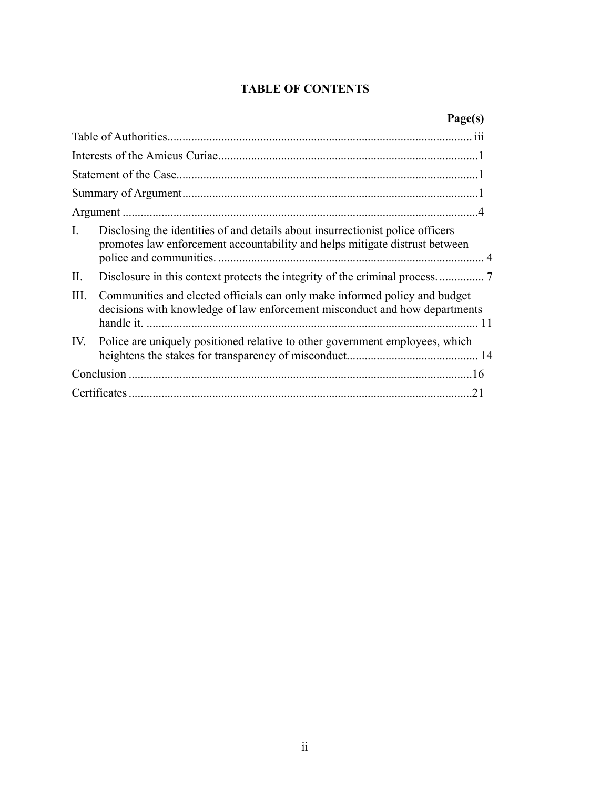### **TABLE OF CONTENTS**

|                | Page(s)                                                                                                                                                       |  |  |  |
|----------------|---------------------------------------------------------------------------------------------------------------------------------------------------------------|--|--|--|
|                |                                                                                                                                                               |  |  |  |
|                |                                                                                                                                                               |  |  |  |
|                |                                                                                                                                                               |  |  |  |
|                |                                                                                                                                                               |  |  |  |
|                |                                                                                                                                                               |  |  |  |
| $\mathbf{I}$ . | Disclosing the identities of and details about insurrectionist police officers<br>promotes law enforcement accountability and helps mitigate distrust between |  |  |  |
| II.            |                                                                                                                                                               |  |  |  |
| III.           | Communities and elected officials can only make informed policy and budget<br>decisions with knowledge of law enforcement misconduct and how departments      |  |  |  |
| IV.            | Police are uniquely positioned relative to other government employees, which                                                                                  |  |  |  |
|                |                                                                                                                                                               |  |  |  |
| 21             |                                                                                                                                                               |  |  |  |
|                |                                                                                                                                                               |  |  |  |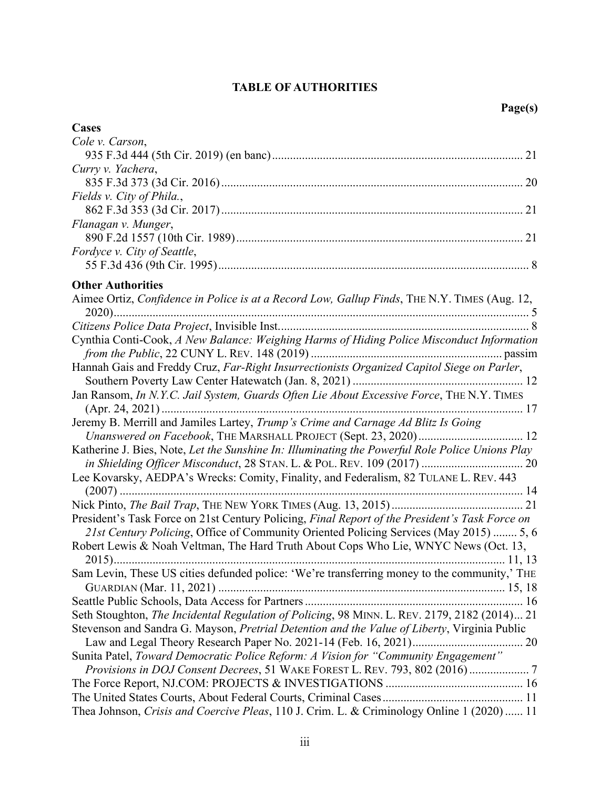### **TABLE OF AUTHORITIES**

| Cases                                                                                                                                                                                                                                                                                                                                                                                                                                                                                                                                                                                                                                                                 |
|-----------------------------------------------------------------------------------------------------------------------------------------------------------------------------------------------------------------------------------------------------------------------------------------------------------------------------------------------------------------------------------------------------------------------------------------------------------------------------------------------------------------------------------------------------------------------------------------------------------------------------------------------------------------------|
| Cole v. Carson,                                                                                                                                                                                                                                                                                                                                                                                                                                                                                                                                                                                                                                                       |
|                                                                                                                                                                                                                                                                                                                                                                                                                                                                                                                                                                                                                                                                       |
| Curry v. Yachera,                                                                                                                                                                                                                                                                                                                                                                                                                                                                                                                                                                                                                                                     |
|                                                                                                                                                                                                                                                                                                                                                                                                                                                                                                                                                                                                                                                                       |
| Fields v. City of Phila.,                                                                                                                                                                                                                                                                                                                                                                                                                                                                                                                                                                                                                                             |
| Flanagan v. Munger,                                                                                                                                                                                                                                                                                                                                                                                                                                                                                                                                                                                                                                                   |
| Fordyce v. City of Seattle,                                                                                                                                                                                                                                                                                                                                                                                                                                                                                                                                                                                                                                           |
| <b>Other Authorities</b>                                                                                                                                                                                                                                                                                                                                                                                                                                                                                                                                                                                                                                              |
| Aimee Ortiz, Confidence in Police is at a Record Low, Gallup Finds, THE N.Y. TIMES (Aug. 12,<br>Cynthia Conti-Cook, A New Balance: Weighing Harms of Hiding Police Misconduct Information<br>Hannah Gais and Freddy Cruz, Far-Right Insurrectionists Organized Capitol Siege on Parler,<br>Jan Ransom, In N.Y.C. Jail System, Guards Often Lie About Excessive Force, THE N.Y. TIMES<br>Jeremy B. Merrill and Jamiles Lartey, Trump's Crime and Carnage Ad Blitz Is Going<br>Katherine J. Bies, Note, Let the Sunshine In: Illuminating the Powerful Role Police Unions Play<br>Lee Kovarsky, AEDPA's Wrecks: Comity, Finality, and Federalism, 82 TULANE L. REV. 443 |
|                                                                                                                                                                                                                                                                                                                                                                                                                                                                                                                                                                                                                                                                       |
|                                                                                                                                                                                                                                                                                                                                                                                                                                                                                                                                                                                                                                                                       |
| President's Task Force on 21st Century Policing, Final Report of the President's Task Force on                                                                                                                                                                                                                                                                                                                                                                                                                                                                                                                                                                        |
| 21st Century Policing, Office of Community Oriented Policing Services (May 2015)  5, 6                                                                                                                                                                                                                                                                                                                                                                                                                                                                                                                                                                                |
| Robert Lewis & Noah Veltman, The Hard Truth About Cops Who Lie, WNYC News (Oct. 13,                                                                                                                                                                                                                                                                                                                                                                                                                                                                                                                                                                                   |
| Sam Levin, These US cities defunded police: 'We're transferring money to the community,' THE                                                                                                                                                                                                                                                                                                                                                                                                                                                                                                                                                                          |
|                                                                                                                                                                                                                                                                                                                                                                                                                                                                                                                                                                                                                                                                       |
| Seth Stoughton, The Incidental Regulation of Policing, 98 MINN. L. REV. 2179, 2182 (2014) 21                                                                                                                                                                                                                                                                                                                                                                                                                                                                                                                                                                          |
| Stevenson and Sandra G. Mayson, Pretrial Detention and the Value of Liberty, Virginia Public                                                                                                                                                                                                                                                                                                                                                                                                                                                                                                                                                                          |
| Sunita Patel, Toward Democratic Police Reform: A Vision for "Community Engagement"                                                                                                                                                                                                                                                                                                                                                                                                                                                                                                                                                                                    |
| Provisions in DOJ Consent Decrees, 51 WAKE FOREST L. REV. 793, 802 (2016) 7                                                                                                                                                                                                                                                                                                                                                                                                                                                                                                                                                                                           |
|                                                                                                                                                                                                                                                                                                                                                                                                                                                                                                                                                                                                                                                                       |
|                                                                                                                                                                                                                                                                                                                                                                                                                                                                                                                                                                                                                                                                       |
| Thea Johnson, Crisis and Coercive Pleas, 110 J. Crim. L. & Criminology Online 1 (2020)  11                                                                                                                                                                                                                                                                                                                                                                                                                                                                                                                                                                            |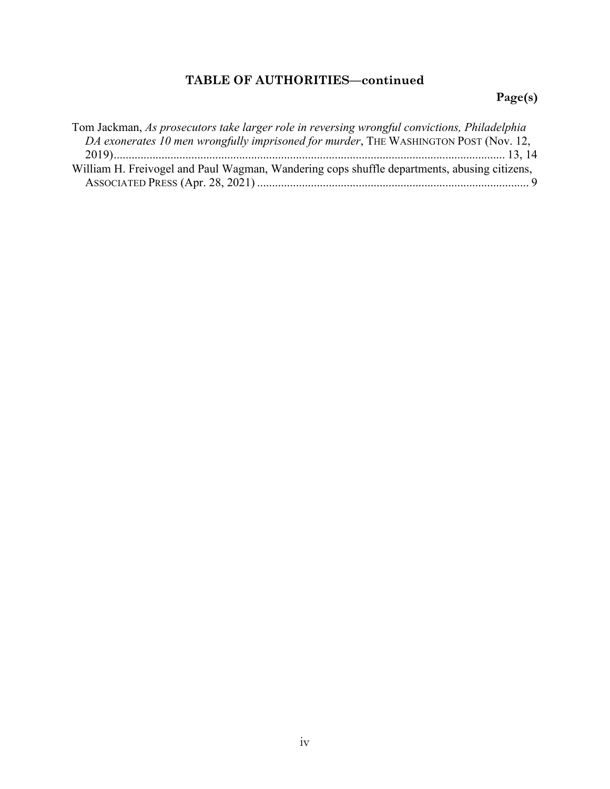# **TABLE OF AUTHORITIES—continued**

# **Page(s)**

| Tom Jackman, As prosecutors take larger role in reversing wrongful convictions, Philadelphia |  |
|----------------------------------------------------------------------------------------------|--|
| DA exonerates 10 men wrongfully imprisoned for murder, THE WASHINGTON POST (Nov. 12,         |  |
|                                                                                              |  |
| William H. Freivogel and Paul Wagman, Wandering cops shuffle departments, abusing citizens,  |  |
|                                                                                              |  |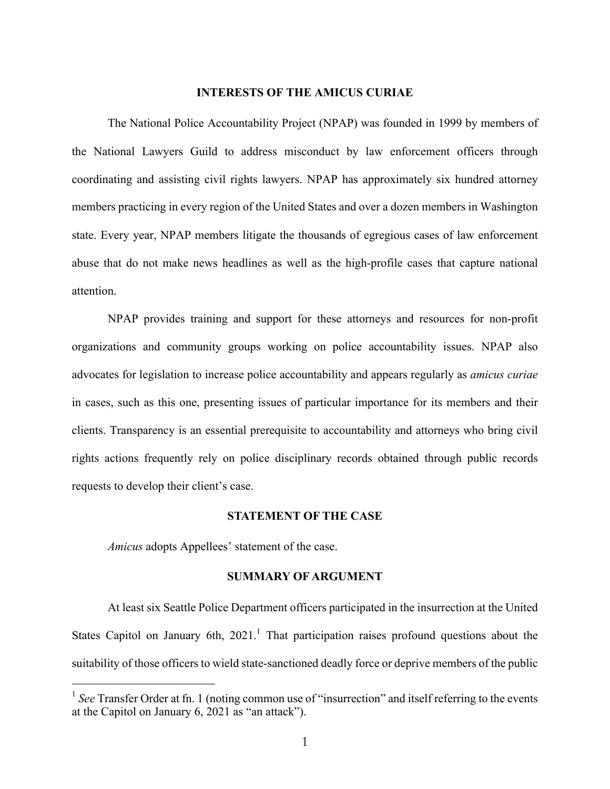#### **INTERESTS OF THE AMICUS CURIAE**

The National Police Accountability Project (NPAP) was founded in 1999 by members of the National Lawyers Guild to address misconduct by law enforcement officers through coordinating and assisting civil rights lawyers. NPAP has approximately six hundred attorney members practicing in every region of the United States and over a dozen members in Washington state. Every year, NPAP members litigate the thousands of egregious cases of law enforcement abuse that do not make news headlines as well as the high-profile cases that capture national attention.

NPAP provides training and support for these attorneys and resources for non-profit organizations and community groups working on police accountability issues. NPAP also advocates for legislation to increase police accountability and appears regularly as *amicus curiae* in cases, such as this one, presenting issues of particular importance for its members and their clients. Transparency is an essential prerequisite to accountability and attorneys who bring civil rights actions frequently rely on police disciplinary records obtained through public records requests to develop their client's case.

#### **STATEMENT OF THE CASE**

*Amicus* adopts Appellees' statement of the case.

 $\overline{a}$ 

#### **SUMMARY OF ARGUMENT**

At least six Seattle Police Department officers participated in the insurrection at the United States Capitol on January 6th,  $2021$ .<sup>1</sup> That participation raises profound questions about the suitability of those officers to wield state-sanctioned deadly force or deprive members of the public

<sup>&</sup>lt;sup>1</sup> See Transfer Order at fn. 1 (noting common use of "insurrection" and itself referring to the events at the Capitol on January 6, 2021 as "an attack").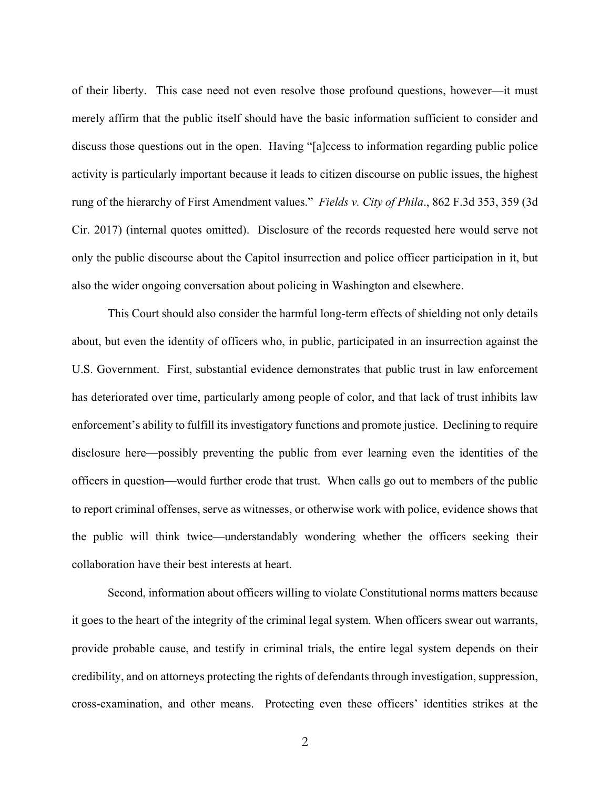of their liberty. This case need not even resolve those profound questions, however—it must merely affirm that the public itself should have the basic information sufficient to consider and discuss those questions out in the open. Having "[a]ccess to information regarding public police activity is particularly important because it leads to citizen discourse on public issues, the highest rung of the hierarchy of First Amendment values." *Fields v. City of Phila*., 862 F.3d 353, 359 (3d Cir. 2017) (internal quotes omitted). Disclosure of the records requested here would serve not only the public discourse about the Capitol insurrection and police officer participation in it, but also the wider ongoing conversation about policing in Washington and elsewhere.

This Court should also consider the harmful long-term effects of shielding not only details about, but even the identity of officers who, in public, participated in an insurrection against the U.S. Government. First, substantial evidence demonstrates that public trust in law enforcement has deteriorated over time, particularly among people of color, and that lack of trust inhibits law enforcement's ability to fulfill its investigatory functions and promote justice. Declining to require disclosure here—possibly preventing the public from ever learning even the identities of the officers in question—would further erode that trust. When calls go out to members of the public to report criminal offenses, serve as witnesses, or otherwise work with police, evidence shows that the public will think twice—understandably wondering whether the officers seeking their collaboration have their best interests at heart.

Second, information about officers willing to violate Constitutional norms matters because it goes to the heart of the integrity of the criminal legal system. When officers swear out warrants, provide probable cause, and testify in criminal trials, the entire legal system depends on their credibility, and on attorneys protecting the rights of defendants through investigation, suppression, cross-examination, and other means. Protecting even these officers' identities strikes at the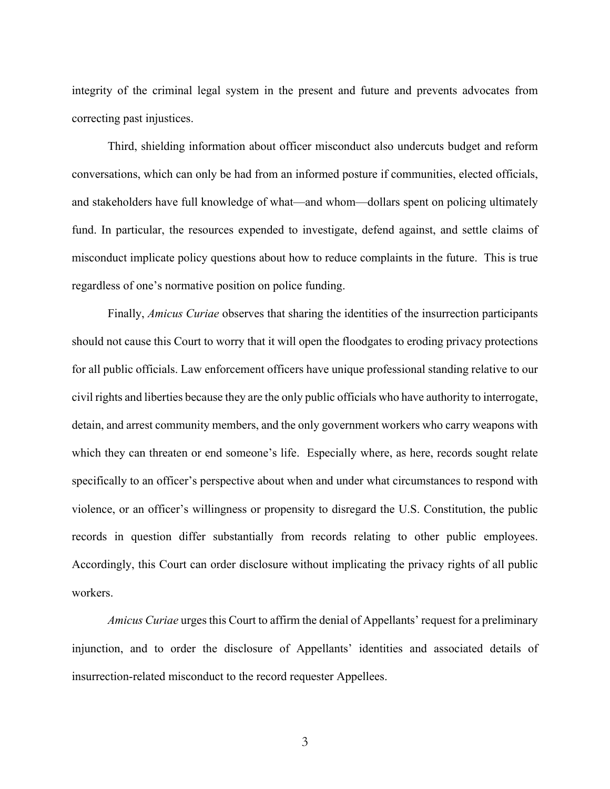integrity of the criminal legal system in the present and future and prevents advocates from correcting past injustices.

Third, shielding information about officer misconduct also undercuts budget and reform conversations, which can only be had from an informed posture if communities, elected officials, and stakeholders have full knowledge of what—and whom—dollars spent on policing ultimately fund. In particular, the resources expended to investigate, defend against, and settle claims of misconduct implicate policy questions about how to reduce complaints in the future. This is true regardless of one's normative position on police funding.

Finally, *Amicus Curiae* observes that sharing the identities of the insurrection participants should not cause this Court to worry that it will open the floodgates to eroding privacy protections for all public officials. Law enforcement officers have unique professional standing relative to our civil rights and liberties because they are the only public officials who have authority to interrogate, detain, and arrest community members, and the only government workers who carry weapons with which they can threaten or end someone's life. Especially where, as here, records sought relate specifically to an officer's perspective about when and under what circumstances to respond with violence, or an officer's willingness or propensity to disregard the U.S. Constitution, the public records in question differ substantially from records relating to other public employees. Accordingly, this Court can order disclosure without implicating the privacy rights of all public workers.

*Amicus Curiae* urges this Court to affirm the denial of Appellants' request for a preliminary injunction, and to order the disclosure of Appellants' identities and associated details of insurrection-related misconduct to the record requester Appellees.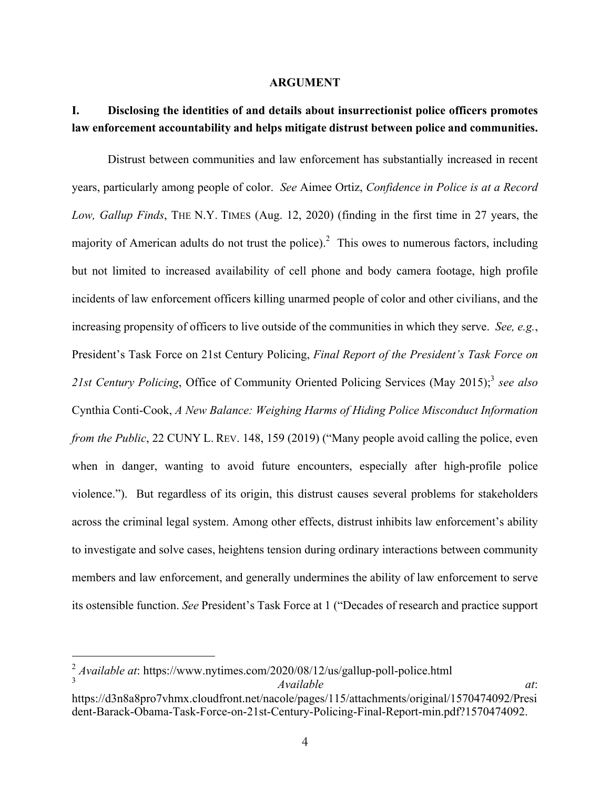#### **ARGUMENT**

## **I. Disclosing the identities of and details about insurrectionist police officers promotes law enforcement accountability and helps mitigate distrust between police and communities.**

Distrust between communities and law enforcement has substantially increased in recent years, particularly among people of color. *See* Aimee Ortiz, *Confidence in Police is at a Record Low, Gallup Finds*, THE N.Y. TIMES (Aug. 12, 2020) (finding in the first time in 27 years, the majority of American adults do not trust the police).<sup>2</sup> This owes to numerous factors, including but not limited to increased availability of cell phone and body camera footage, high profile incidents of law enforcement officers killing unarmed people of color and other civilians, and the increasing propensity of officers to live outside of the communities in which they serve. *See, e.g.*, President's Task Force on 21st Century Policing, *Final Report of the President's Task Force on 21st Century Policing*, Office of Community Oriented Policing Services (May 2015); <sup>3</sup> *see also* Cynthia Conti-Cook, *A New Balance: Weighing Harms of Hiding Police Misconduct Information from the Public*, 22 CUNY L. REV. 148, 159 (2019) ("Many people avoid calling the police, even when in danger, wanting to avoid future encounters, especially after high-profile police violence."). But regardless of its origin, this distrust causes several problems for stakeholders across the criminal legal system. Among other effects, distrust inhibits law enforcement's ability to investigate and solve cases, heightens tension during ordinary interactions between community members and law enforcement, and generally undermines the ability of law enforcement to serve its ostensible function. *See* President's Task Force at 1 ("Decades of research and practice support

<sup>2</sup> *Available at*: https://www.nytimes.com/2020/08/12/us/gallup-poll-police.html <sup>3</sup> *Available at*:

https://d3n8a8pro7vhmx.cloudfront.net/nacole/pages/115/attachments/original/1570474092/Presi dent-Barack-Obama-Task-Force-on-21st-Century-Policing-Final-Report-min.pdf?1570474092.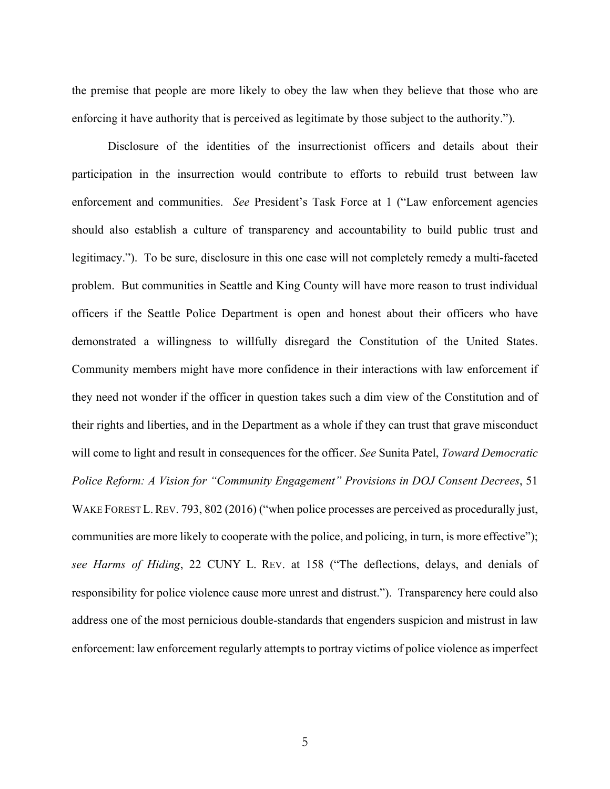the premise that people are more likely to obey the law when they believe that those who are enforcing it have authority that is perceived as legitimate by those subject to the authority.").

Disclosure of the identities of the insurrectionist officers and details about their participation in the insurrection would contribute to efforts to rebuild trust between law enforcement and communities. *See* President's Task Force at 1 ("Law enforcement agencies should also establish a culture of transparency and accountability to build public trust and legitimacy."). To be sure, disclosure in this one case will not completely remedy a multi-faceted problem. But communities in Seattle and King County will have more reason to trust individual officers if the Seattle Police Department is open and honest about their officers who have demonstrated a willingness to willfully disregard the Constitution of the United States. Community members might have more confidence in their interactions with law enforcement if they need not wonder if the officer in question takes such a dim view of the Constitution and of their rights and liberties, and in the Department as a whole if they can trust that grave misconduct will come to light and result in consequences for the officer. *See* Sunita Patel, *Toward Democratic Police Reform: A Vision for "Community Engagement" Provisions in DOJ Consent Decrees*, 51 WAKE FOREST L. REV. 793, 802 (2016) ("when police processes are perceived as procedurally just, communities are more likely to cooperate with the police, and policing, in turn, is more effective"); *see Harms of Hiding*, 22 CUNY L. REV. at 158 ("The deflections, delays, and denials of responsibility for police violence cause more unrest and distrust."). Transparency here could also address one of the most pernicious double-standards that engenders suspicion and mistrust in law enforcement: law enforcement regularly attempts to portray victims of police violence as imperfect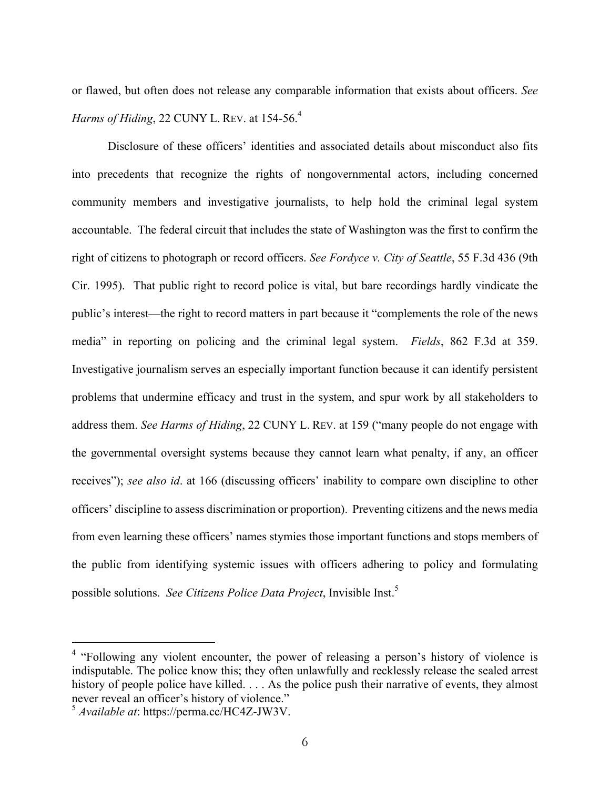or flawed, but often does not release any comparable information that exists about officers. *See Harms of Hiding*, 22 CUNY L. REV. at 154-56.<sup>4</sup>

Disclosure of these officers' identities and associated details about misconduct also fits into precedents that recognize the rights of nongovernmental actors, including concerned community members and investigative journalists, to help hold the criminal legal system accountable. The federal circuit that includes the state of Washington was the first to confirm the right of citizens to photograph or record officers. *See Fordyce v. City of Seattle*, 55 F.3d 436 (9th Cir. 1995). That public right to record police is vital, but bare recordings hardly vindicate the public's interest—the right to record matters in part because it "complements the role of the news media" in reporting on policing and the criminal legal system. *Fields*, 862 F.3d at 359. Investigative journalism serves an especially important function because it can identify persistent problems that undermine efficacy and trust in the system, and spur work by all stakeholders to address them. *See Harms of Hiding*, 22 CUNY L. REV. at 159 ("many people do not engage with the governmental oversight systems because they cannot learn what penalty, if any, an officer receives"); *see also id*. at 166 (discussing officers' inability to compare own discipline to other officers' discipline to assess discrimination or proportion). Preventing citizens and the news media from even learning these officers' names stymies those important functions and stops members of the public from identifying systemic issues with officers adhering to policy and formulating possible solutions. *See Citizens Police Data Project*, Invisible Inst.<sup>5</sup>

 $4$  "Following any violent encounter, the power of releasing a person's history of violence is indisputable. The police know this; they often unlawfully and recklessly release the sealed arrest history of people police have killed. . . . As the police push their narrative of events, they almost never reveal an officer's history of violence."

<sup>5</sup> *Available at*: https://perma.cc/HC4Z-JW3V.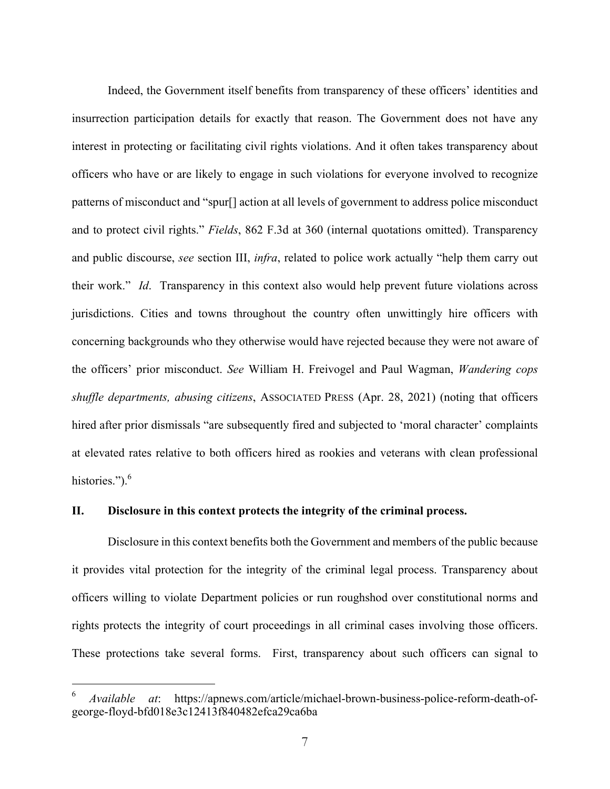Indeed, the Government itself benefits from transparency of these officers' identities and insurrection participation details for exactly that reason. The Government does not have any interest in protecting or facilitating civil rights violations. And it often takes transparency about officers who have or are likely to engage in such violations for everyone involved to recognize patterns of misconduct and "spur[] action at all levels of government to address police misconduct and to protect civil rights." *Fields*, 862 F.3d at 360 (internal quotations omitted). Transparency and public discourse, *see* section III, *infra*, related to police work actually "help them carry out their work." *Id*. Transparency in this context also would help prevent future violations across jurisdictions. Cities and towns throughout the country often unwittingly hire officers with concerning backgrounds who they otherwise would have rejected because they were not aware of the officers' prior misconduct. *See* William H. Freivogel and Paul Wagman, *Wandering cops shuffle departments, abusing citizens*, ASSOCIATED PRESS (Apr. 28, 2021) (noting that officers hired after prior dismissals "are subsequently fired and subjected to 'moral character' complaints at elevated rates relative to both officers hired as rookies and veterans with clean professional histories."). $<sup>6</sup>$ </sup>

#### **II. Disclosure in this context protects the integrity of the criminal process.**

 $\overline{a}$ 

Disclosure in this context benefits both the Government and members of the public because it provides vital protection for the integrity of the criminal legal process. Transparency about officers willing to violate Department policies or run roughshod over constitutional norms and rights protects the integrity of court proceedings in all criminal cases involving those officers. These protections take several forms. First, transparency about such officers can signal to

<sup>6</sup> *Available at*: https://apnews.com/article/michael-brown-business-police-reform-death-ofgeorge-floyd-bfd018e3c12413f840482efca29ca6ba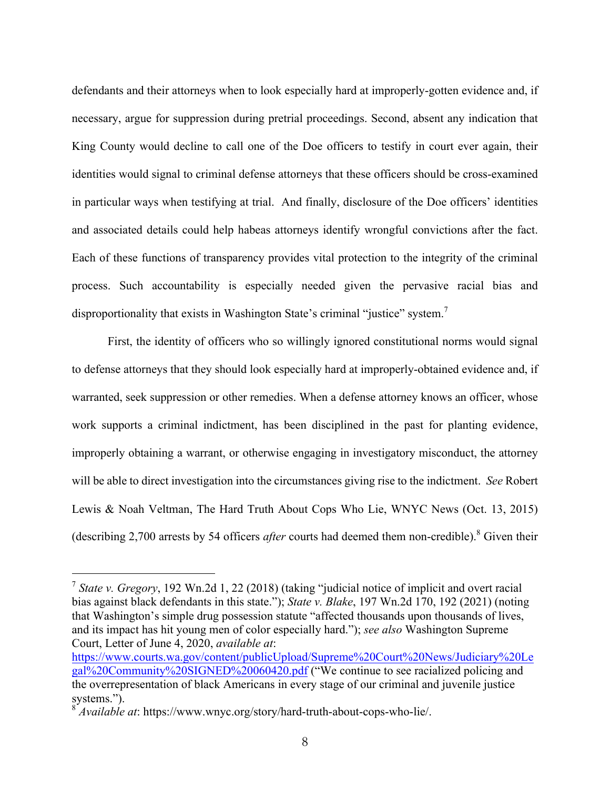defendants and their attorneys when to look especially hard at improperly-gotten evidence and, if necessary, argue for suppression during pretrial proceedings. Second, absent any indication that King County would decline to call one of the Doe officers to testify in court ever again, their identities would signal to criminal defense attorneys that these officers should be cross-examined in particular ways when testifying at trial. And finally, disclosure of the Doe officers' identities and associated details could help habeas attorneys identify wrongful convictions after the fact. Each of these functions of transparency provides vital protection to the integrity of the criminal process. Such accountability is especially needed given the pervasive racial bias and disproportionality that exists in Washington State's criminal "justice" system.<sup>7</sup>

First, the identity of officers who so willingly ignored constitutional norms would signal to defense attorneys that they should look especially hard at improperly-obtained evidence and, if warranted, seek suppression or other remedies. When a defense attorney knows an officer, whose work supports a criminal indictment, has been disciplined in the past for planting evidence, improperly obtaining a warrant, or otherwise engaging in investigatory misconduct, the attorney will be able to direct investigation into the circumstances giving rise to the indictment. *See* Robert Lewis & Noah Veltman, The Hard Truth About Cops Who Lie, WNYC News (Oct. 13, 2015) (describing 2,700 arrests by 54 officers *after* courts had deemed them non-credible).<sup>8</sup> Given their

<sup>7</sup> *State v. Gregory*, 192 Wn.2d 1, 22 (2018) (taking "judicial notice of implicit and overt racial bias against black defendants in this state."); *State v. Blake*, 197 Wn.2d 170, 192 (2021) (noting that Washington's simple drug possession statute "affected thousands upon thousands of lives, and its impact has hit young men of color especially hard."); *see also* Washington Supreme Court, Letter of June 4, 2020, *available at*:

https://www.courts.wa.gov/content/publicUpload/Supreme%20Court%20News/Judiciary%20Le gal%20Community%20SIGNED%20060420.pdf ("We continue to see racialized policing and the overrepresentation of black Americans in every stage of our criminal and juvenile justice systems.").

<sup>8</sup> *Available at*: https://www.wnyc.org/story/hard-truth-about-cops-who-lie/.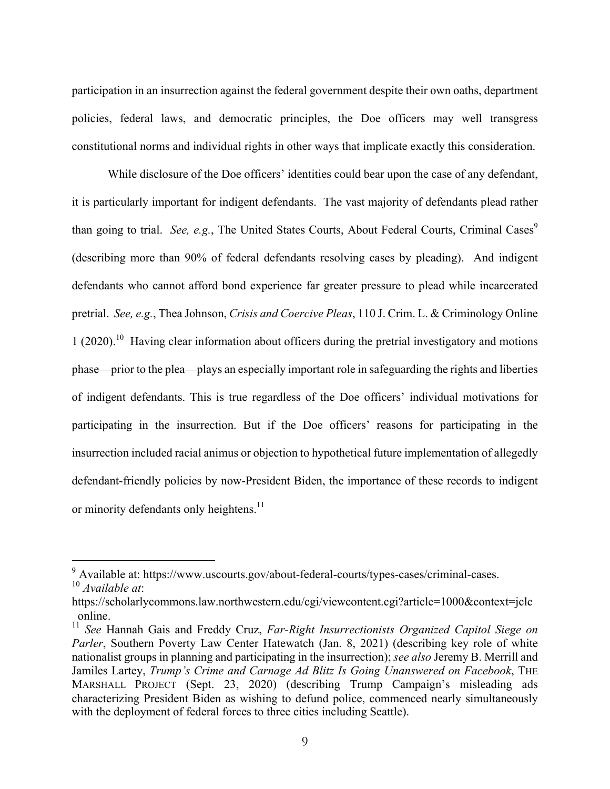participation in an insurrection against the federal government despite their own oaths, department policies, federal laws, and democratic principles, the Doe officers may well transgress constitutional norms and individual rights in other ways that implicate exactly this consideration.

While disclosure of the Doe officers' identities could bear upon the case of any defendant, it is particularly important for indigent defendants. The vast majority of defendants plead rather than going to trial. *See, e.g.*, The United States Courts, About Federal Courts, Criminal Cases<sup>9</sup> (describing more than 90% of federal defendants resolving cases by pleading). And indigent defendants who cannot afford bond experience far greater pressure to plead while incarcerated pretrial. *See, e.g.*, Thea Johnson, *Crisis and Coercive Pleas*, 110 J. Crim. L. & Criminology Online 1 (2020).<sup>10</sup> Having clear information about officers during the pretrial investigatory and motions phase—prior to the plea—plays an especially important role in safeguarding the rights and liberties of indigent defendants. This is true regardless of the Doe officers' individual motivations for participating in the insurrection. But if the Doe officers' reasons for participating in the insurrection included racial animus or objection to hypothetical future implementation of allegedly defendant-friendly policies by now-President Biden, the importance of these records to indigent or minority defendants only heightens.<sup>11</sup>

<sup>&</sup>lt;sup>9</sup> Available at: https://www.uscourts.gov/about-federal-courts/types-cases/criminal-cases.

<sup>10</sup> *Available at*:

https://scholarlycommons.law.northwestern.edu/cgi/viewcontent.cgi?article=1000&context=jclc

\_online. <sup>11</sup> *See* Hannah Gais and Freddy Cruz, *Far-Right Insurrectionists Organized Capitol Siege on Parler*, Southern Poverty Law Center Hatewatch (Jan. 8, 2021) (describing key role of white nationalist groups in planning and participating in the insurrection); *see also* Jeremy B. Merrill and Jamiles Lartey, *Trump's Crime and Carnage Ad Blitz Is Going Unanswered on Facebook*, THE MARSHALL PROJECT (Sept. 23, 2020) (describing Trump Campaign's misleading ads characterizing President Biden as wishing to defund police, commenced nearly simultaneously with the deployment of federal forces to three cities including Seattle).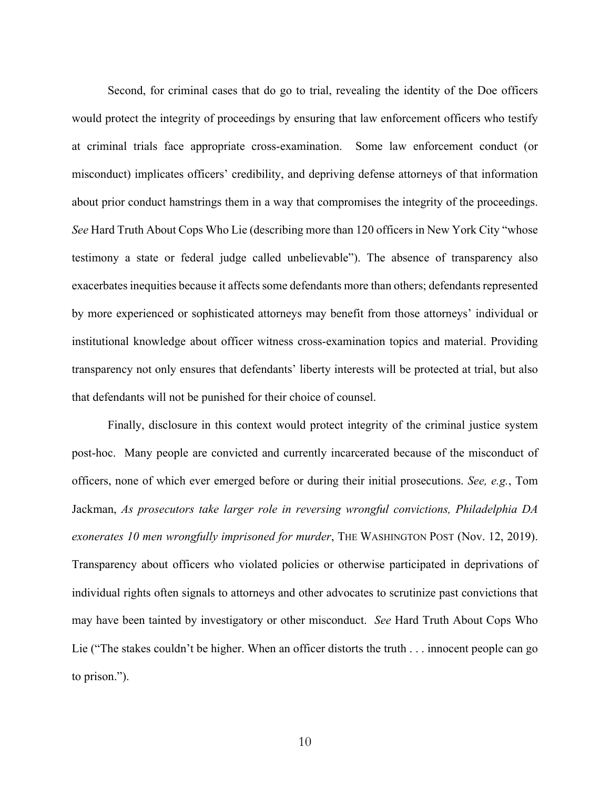Second, for criminal cases that do go to trial, revealing the identity of the Doe officers would protect the integrity of proceedings by ensuring that law enforcement officers who testify at criminal trials face appropriate cross-examination. Some law enforcement conduct (or misconduct) implicates officers' credibility, and depriving defense attorneys of that information about prior conduct hamstrings them in a way that compromises the integrity of the proceedings. *See* Hard Truth About Cops Who Lie (describing more than 120 officers in New York City "whose testimony a state or federal judge called unbelievable"). The absence of transparency also exacerbates inequities because it affects some defendants more than others; defendants represented by more experienced or sophisticated attorneys may benefit from those attorneys' individual or institutional knowledge about officer witness cross-examination topics and material. Providing transparency not only ensures that defendants' liberty interests will be protected at trial, but also that defendants will not be punished for their choice of counsel.

Finally, disclosure in this context would protect integrity of the criminal justice system post-hoc. Many people are convicted and currently incarcerated because of the misconduct of officers, none of which ever emerged before or during their initial prosecutions. *See, e.g.*, Tom Jackman, *As prosecutors take larger role in reversing wrongful convictions, Philadelphia DA exonerates 10 men wrongfully imprisoned for murder*, THE WASHINGTON POST (Nov. 12, 2019). Transparency about officers who violated policies or otherwise participated in deprivations of individual rights often signals to attorneys and other advocates to scrutinize past convictions that may have been tainted by investigatory or other misconduct. *See* Hard Truth About Cops Who Lie ("The stakes couldn't be higher. When an officer distorts the truth . . . innocent people can go to prison.").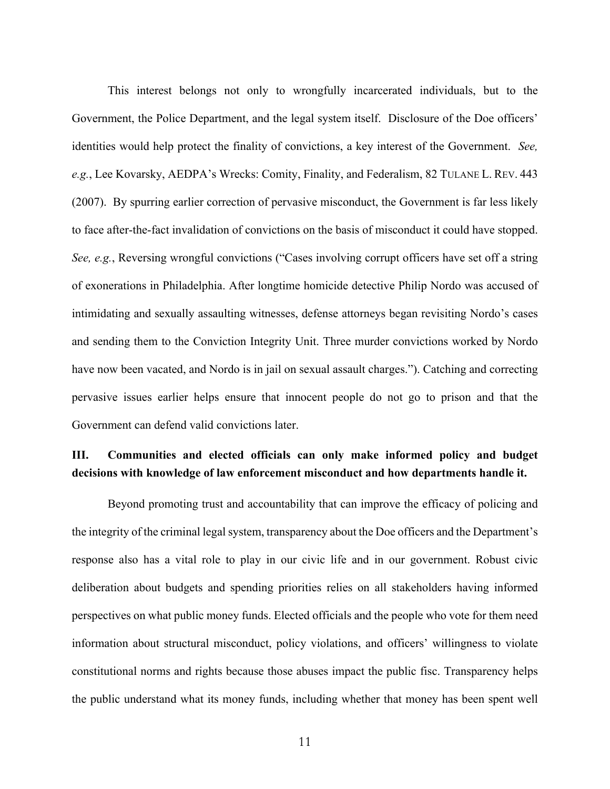This interest belongs not only to wrongfully incarcerated individuals, but to the Government, the Police Department, and the legal system itself. Disclosure of the Doe officers' identities would help protect the finality of convictions, a key interest of the Government. *See, e.g.*, Lee Kovarsky, AEDPA's Wrecks: Comity, Finality, and Federalism, 82 TULANE L. REV. 443 (2007). By spurring earlier correction of pervasive misconduct, the Government is far less likely to face after-the-fact invalidation of convictions on the basis of misconduct it could have stopped. *See, e.g.*, Reversing wrongful convictions ("Cases involving corrupt officers have set off a string of exonerations in Philadelphia. After longtime homicide detective Philip Nordo was accused of intimidating and sexually assaulting witnesses, defense attorneys began revisiting Nordo's cases and sending them to the Conviction Integrity Unit. Three murder convictions worked by Nordo have now been vacated, and Nordo is in jail on sexual assault charges."). Catching and correcting pervasive issues earlier helps ensure that innocent people do not go to prison and that the Government can defend valid convictions later.

### **III. Communities and elected officials can only make informed policy and budget decisions with knowledge of law enforcement misconduct and how departments handle it.**

Beyond promoting trust and accountability that can improve the efficacy of policing and the integrity of the criminal legal system, transparency about the Doe officers and the Department's response also has a vital role to play in our civic life and in our government. Robust civic deliberation about budgets and spending priorities relies on all stakeholders having informed perspectives on what public money funds. Elected officials and the people who vote for them need information about structural misconduct, policy violations, and officers' willingness to violate constitutional norms and rights because those abuses impact the public fisc. Transparency helps the public understand what its money funds, including whether that money has been spent well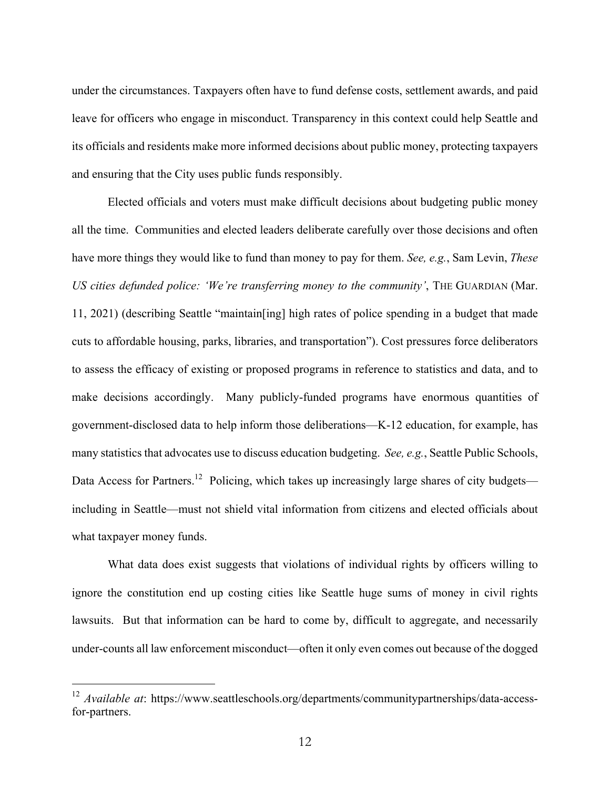under the circumstances. Taxpayers often have to fund defense costs, settlement awards, and paid leave for officers who engage in misconduct. Transparency in this context could help Seattle and its officials and residents make more informed decisions about public money, protecting taxpayers and ensuring that the City uses public funds responsibly.

Elected officials and voters must make difficult decisions about budgeting public money all the time. Communities and elected leaders deliberate carefully over those decisions and often have more things they would like to fund than money to pay for them. *See, e.g.*, Sam Levin, *These US cities defunded police: 'We're transferring money to the community'*, THE GUARDIAN (Mar. 11, 2021) (describing Seattle "maintain[ing] high rates of police spending in a budget that made cuts to affordable housing, parks, libraries, and transportation"). Cost pressures force deliberators to assess the efficacy of existing or proposed programs in reference to statistics and data, and to make decisions accordingly. Many publicly-funded programs have enormous quantities of government-disclosed data to help inform those deliberations—K-12 education, for example, has many statistics that advocates use to discuss education budgeting. *See, e.g.*, Seattle Public Schools, Data Access for Partners.<sup>12</sup> Policing, which takes up increasingly large shares of city budgets including in Seattle—must not shield vital information from citizens and elected officials about what taxpayer money funds.

What data does exist suggests that violations of individual rights by officers willing to ignore the constitution end up costing cities like Seattle huge sums of money in civil rights lawsuits. But that information can be hard to come by, difficult to aggregate, and necessarily under-counts all law enforcement misconduct—often it only even comes out because of the dogged

<sup>12</sup> *Available at*: https://www.seattleschools.org/departments/communitypartnerships/data-accessfor-partners.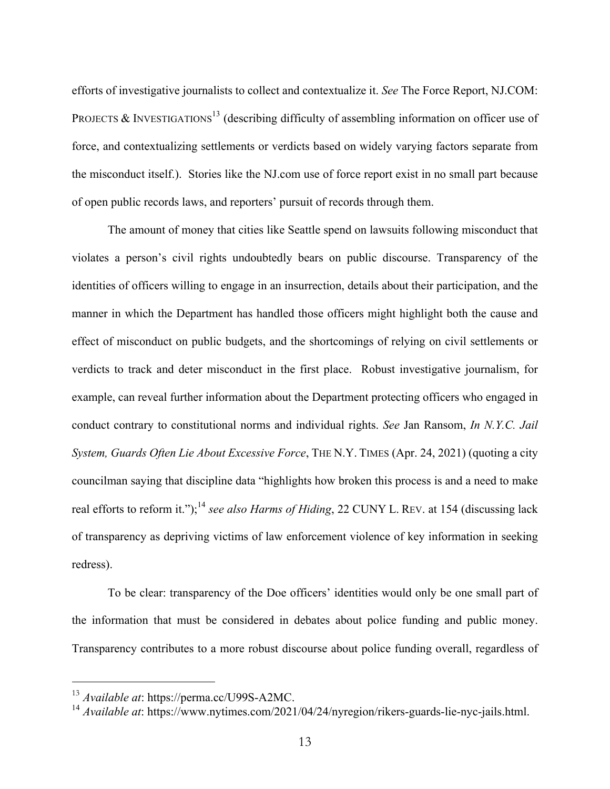efforts of investigative journalists to collect and contextualize it. *See* The Force Report, NJ.COM: PROJECTS & INVESTIGATIONS<sup>13</sup> (describing difficulty of assembling information on officer use of force, and contextualizing settlements or verdicts based on widely varying factors separate from the misconduct itself.). Stories like the NJ.com use of force report exist in no small part because of open public records laws, and reporters' pursuit of records through them.

The amount of money that cities like Seattle spend on lawsuits following misconduct that violates a person's civil rights undoubtedly bears on public discourse. Transparency of the identities of officers willing to engage in an insurrection, details about their participation, and the manner in which the Department has handled those officers might highlight both the cause and effect of misconduct on public budgets, and the shortcomings of relying on civil settlements or verdicts to track and deter misconduct in the first place. Robust investigative journalism, for example, can reveal further information about the Department protecting officers who engaged in conduct contrary to constitutional norms and individual rights. *See* Jan Ransom, *In N.Y.C. Jail System, Guards Often Lie About Excessive Force*, THE N.Y. TIMES (Apr. 24, 2021) (quoting a city councilman saying that discipline data "highlights how broken this process is and a need to make real efforts to reform it.");<sup>14</sup> see also Harms of Hiding, 22 CUNY L. REV. at 154 (discussing lack of transparency as depriving victims of law enforcement violence of key information in seeking redress).

To be clear: transparency of the Doe officers' identities would only be one small part of the information that must be considered in debates about police funding and public money. Transparency contributes to a more robust discourse about police funding overall, regardless of

<sup>13</sup> *Available at*: https://perma.cc/U99S-A2MC.

<sup>14</sup> *Available at*: https://www.nytimes.com/2021/04/24/nyregion/rikers-guards-lie-nyc-jails.html.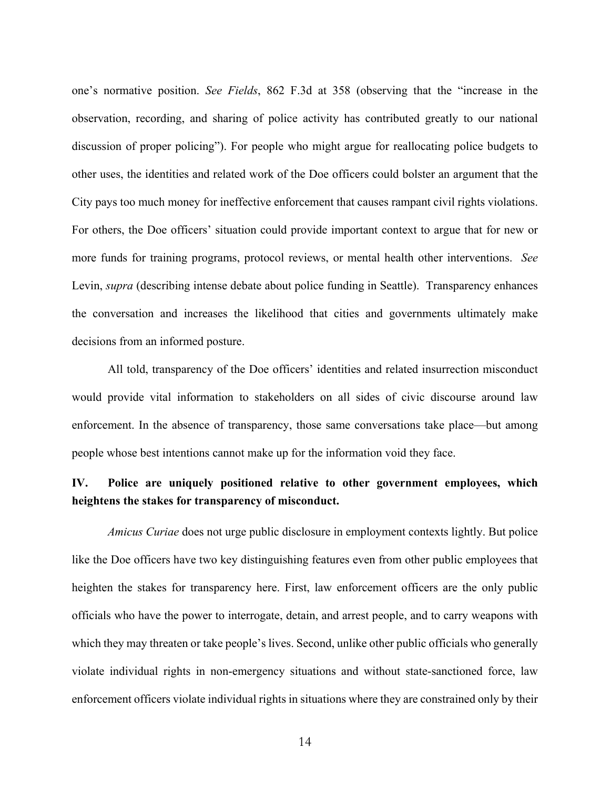one's normative position. *See Fields*, 862 F.3d at 358 (observing that the "increase in the observation, recording, and sharing of police activity has contributed greatly to our national discussion of proper policing"). For people who might argue for reallocating police budgets to other uses, the identities and related work of the Doe officers could bolster an argument that the City pays too much money for ineffective enforcement that causes rampant civil rights violations. For others, the Doe officers' situation could provide important context to argue that for new or more funds for training programs, protocol reviews, or mental health other interventions. *See*  Levin, *supra* (describing intense debate about police funding in Seattle). Transparency enhances the conversation and increases the likelihood that cities and governments ultimately make decisions from an informed posture.

All told, transparency of the Doe officers' identities and related insurrection misconduct would provide vital information to stakeholders on all sides of civic discourse around law enforcement. In the absence of transparency, those same conversations take place—but among people whose best intentions cannot make up for the information void they face.

### **IV. Police are uniquely positioned relative to other government employees, which heightens the stakes for transparency of misconduct.**

*Amicus Curiae* does not urge public disclosure in employment contexts lightly. But police like the Doe officers have two key distinguishing features even from other public employees that heighten the stakes for transparency here. First, law enforcement officers are the only public officials who have the power to interrogate, detain, and arrest people, and to carry weapons with which they may threaten or take people's lives. Second, unlike other public officials who generally violate individual rights in non-emergency situations and without state-sanctioned force, law enforcement officers violate individual rights in situations where they are constrained only by their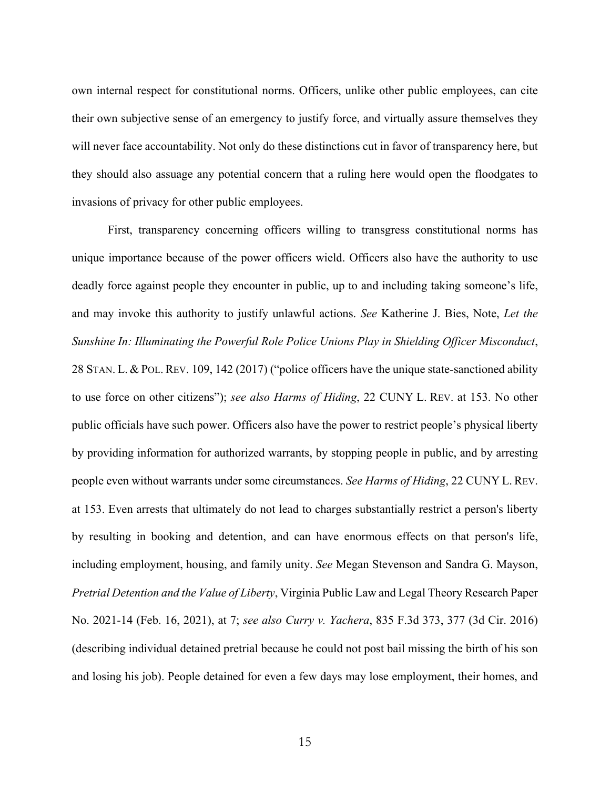own internal respect for constitutional norms. Officers, unlike other public employees, can cite their own subjective sense of an emergency to justify force, and virtually assure themselves they will never face accountability. Not only do these distinctions cut in favor of transparency here, but they should also assuage any potential concern that a ruling here would open the floodgates to invasions of privacy for other public employees.

First, transparency concerning officers willing to transgress constitutional norms has unique importance because of the power officers wield. Officers also have the authority to use deadly force against people they encounter in public, up to and including taking someone's life, and may invoke this authority to justify unlawful actions. *See* Katherine J. Bies, Note, *Let the Sunshine In: Illuminating the Powerful Role Police Unions Play in Shielding Officer Misconduct*, 28 STAN. L. & POL. REV. 109, 142 (2017) ("police officers have the unique state-sanctioned ability to use force on other citizens"); *see also Harms of Hiding*, 22 CUNY L. REV. at 153. No other public officials have such power. Officers also have the power to restrict people's physical liberty by providing information for authorized warrants, by stopping people in public, and by arresting people even without warrants under some circumstances. *See Harms of Hiding*, 22 CUNY L. REV. at 153. Even arrests that ultimately do not lead to charges substantially restrict a person's liberty by resulting in booking and detention, and can have enormous effects on that person's life, including employment, housing, and family unity. *See* Megan Stevenson and Sandra G. Mayson, *Pretrial Detention and the Value of Liberty*, Virginia Public Law and Legal Theory Research Paper No. 2021-14 (Feb. 16, 2021), at 7; *see also Curry v. Yachera*, 835 F.3d 373, 377 (3d Cir. 2016) (describing individual detained pretrial because he could not post bail missing the birth of his son and losing his job). People detained for even a few days may lose employment, their homes, and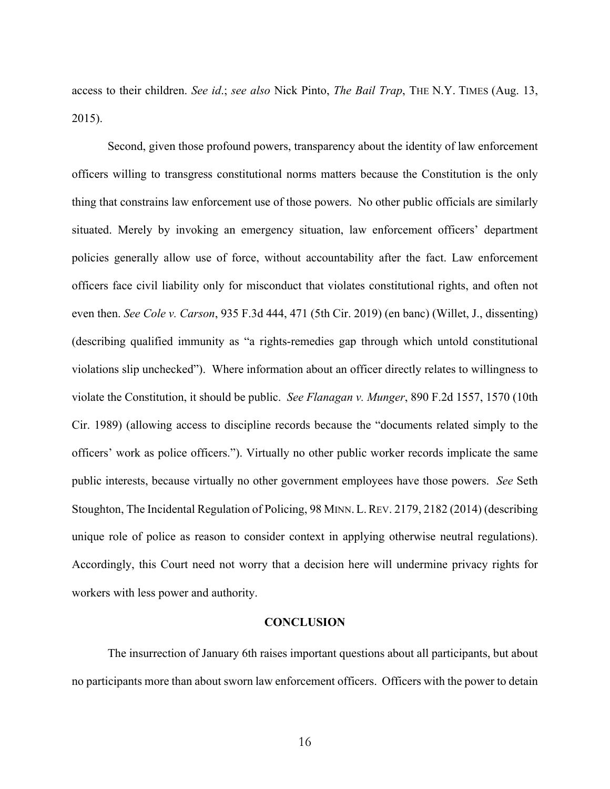access to their children. *See id*.; *see also* Nick Pinto, *The Bail Trap*, THE N.Y. TIMES (Aug. 13, 2015).

Second, given those profound powers, transparency about the identity of law enforcement officers willing to transgress constitutional norms matters because the Constitution is the only thing that constrains law enforcement use of those powers. No other public officials are similarly situated. Merely by invoking an emergency situation, law enforcement officers' department policies generally allow use of force, without accountability after the fact. Law enforcement officers face civil liability only for misconduct that violates constitutional rights, and often not even then. *See Cole v. Carson*, 935 F.3d 444, 471 (5th Cir. 2019) (en banc) (Willet, J., dissenting) (describing qualified immunity as "a rights-remedies gap through which untold constitutional violations slip unchecked"). Where information about an officer directly relates to willingness to violate the Constitution, it should be public. *See Flanagan v. Munger*, 890 F.2d 1557, 1570 (10th Cir. 1989) (allowing access to discipline records because the "documents related simply to the officers' work as police officers."). Virtually no other public worker records implicate the same public interests, because virtually no other government employees have those powers. *See* Seth Stoughton, The Incidental Regulation of Policing, 98 MINN. L.REV. 2179, 2182 (2014) (describing unique role of police as reason to consider context in applying otherwise neutral regulations). Accordingly, this Court need not worry that a decision here will undermine privacy rights for workers with less power and authority.

#### **CONCLUSION**

The insurrection of January 6th raises important questions about all participants, but about no participants more than about sworn law enforcement officers. Officers with the power to detain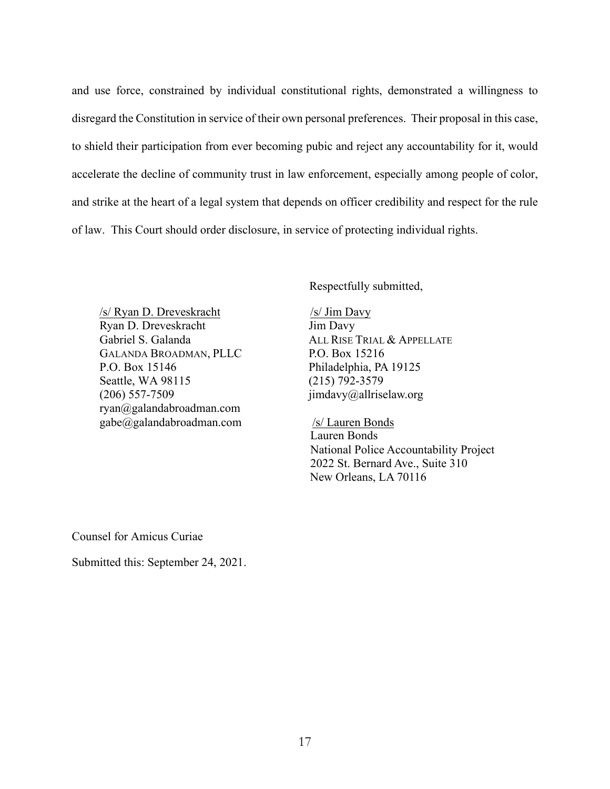and use force, constrained by individual constitutional rights, demonstrated a willingness to disregard the Constitution in service of their own personal preferences. Their proposal in this case, to shield their participation from ever becoming pubic and reject any accountability for it, would accelerate the decline of community trust in law enforcement, especially among people of color, and strike at the heart of a legal system that depends on officer credibility and respect for the rule of law. This Court should order disclosure, in service of protecting individual rights.

Respectfully submitted,

/s/ Ryan D. Dreveskracht Ryan D. Dreveskracht Gabriel S. Galanda GALANDA BROADMAN, PLLC P.O. Box 15146 Seattle, WA 98115 (206) 557-7509 ryan@galandabroadman.com gabe@galandabroadman.com

/s/ Jim Davy Jim Davy ALL RISE TRIAL & APPELLATE P.O. Box 15216 Philadelphia, PA 19125 (215) 792-3579 jimdavy@allriselaw.org

 /s/ Lauren Bonds Lauren Bonds National Police Accountability Project 2022 St. Bernard Ave., Suite 310 New Orleans, LA 70116

Counsel for Amicus Curiae

Submitted this: September 24, 2021.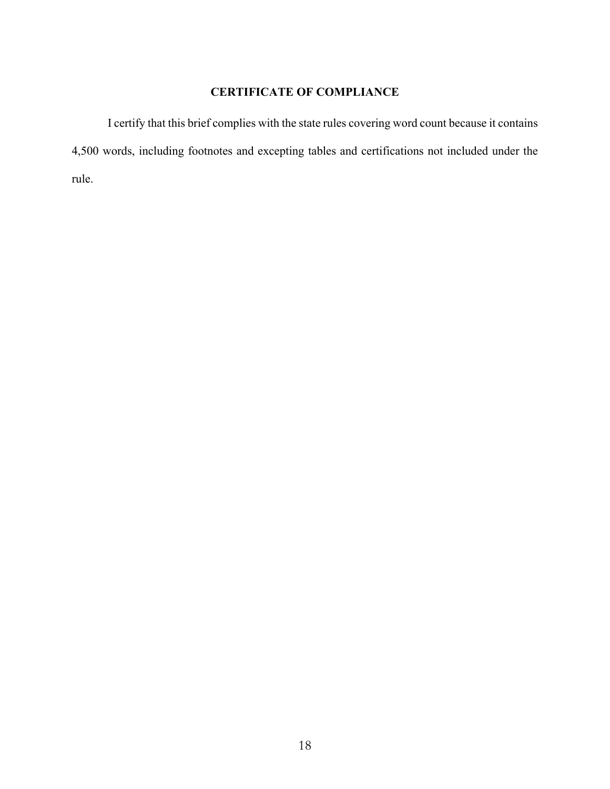#### **CERTIFICATE OF COMPLIANCE**

I certify that this brief complies with the state rules covering word count because it contains 4,500 words, including footnotes and excepting tables and certifications not included under the rule.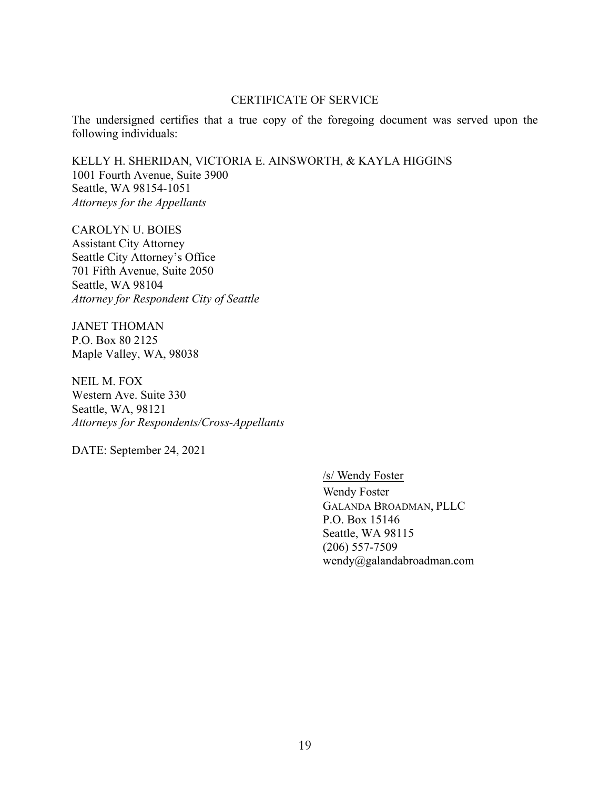#### CERTIFICATE OF SERVICE

The undersigned certifies that a true copy of the foregoing document was served upon the following individuals:

KELLY H. SHERIDAN, VICTORIA E. AINSWORTH, & KAYLA HIGGINS 1001 Fourth Avenue, Suite 3900 Seattle, WA 98154-1051 *Attorneys for the Appellants* 

CAROLYN U. BOIES Assistant City Attorney Seattle City Attorney's Office 701 Fifth Avenue, Suite 2050 Seattle, WA 98104 *Attorney for Respondent City of Seattle* 

JANET THOMAN P.O. Box 80 2125 Maple Valley, WA, 98038

NEIL M. FOX Western Ave. Suite 330 Seattle, WA, 98121 *Attorneys for Respondents/Cross-Appellants* 

DATE: September 24, 2021

/s/ Wendy Foster

Wendy Foster GALANDA BROADMAN, PLLC P.O. Box 15146 Seattle, WA 98115 (206) 557-7509 wendy@galandabroadman.com